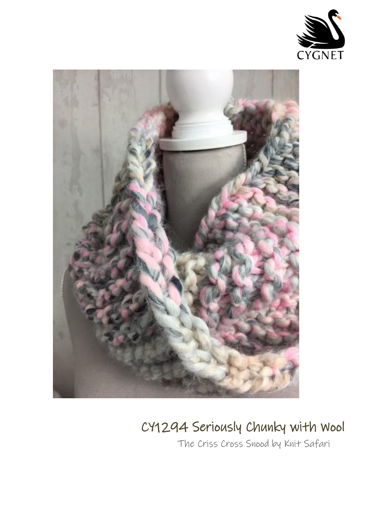



## CY1294 Seriously Chunky with Wool

The Criss Cross Snood by Knit Safari